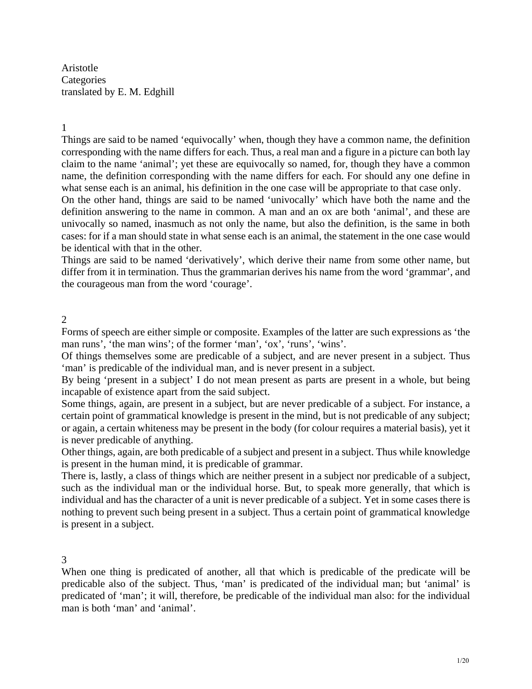Aristotle **Categories** translated by E. M. Edghill

#### 1

Things are said to be named 'equivocally' when, though they have a common name, the definition corresponding with the name differs for each. Thus, a real man and a figure in a picture can both lay claim to the name 'animal'; yet these are equivocally so named, for, though they have a common name, the definition corresponding with the name differs for each. For should any one define in what sense each is an animal, his definition in the one case will be appropriate to that case only.

On the other hand, things are said to be named 'univocally' which have both the name and the definition answering to the name in common. A man and an ox are both 'animal', and these are univocally so named, inasmuch as not only the name, but also the definition, is the same in both cases: for if a man should state in what sense each is an animal, the statement in the one case would be identical with that in the other.

Things are said to be named 'derivatively', which derive their name from some other name, but differ from it in termination. Thus the grammarian derives his name from the word 'grammar', and the courageous man from the word 'courage'.

### $\mathcal{L}$

Forms of speech are either simple or composite. Examples of the latter are such expressions as 'the man runs', 'the man wins'; of the former 'man', 'ox', 'runs', 'wins'.

Of things themselves some are predicable of a subject, and are never present in a subject. Thus 'man' is predicable of the individual man, and is never present in a subject.

By being 'present in a subject' I do not mean present as parts are present in a whole, but being incapable of existence apart from the said subject.

Some things, again, are present in a subject, but are never predicable of a subject. For instance, a certain point of grammatical knowledge is present in the mind, but is not predicable of any subject; or again, a certain whiteness may be present in the body (for colour requires a material basis), yet it is never predicable of anything.

Other things, again, are both predicable of a subject and present in a subject. Thus while knowledge is present in the human mind, it is predicable of grammar.

There is, lastly, a class of things which are neither present in a subject nor predicable of a subject, such as the individual man or the individual horse. But, to speak more generally, that which is individual and has the character of a unit is never predicable of a subject. Yet in some cases there is nothing to prevent such being present in a subject. Thus a certain point of grammatical knowledge is present in a subject.

#### 3

When one thing is predicated of another, all that which is predicable of the predicate will be predicable also of the subject. Thus, 'man' is predicated of the individual man; but 'animal' is predicated of 'man'; it will, therefore, be predicable of the individual man also: for the individual man is both 'man' and 'animal'.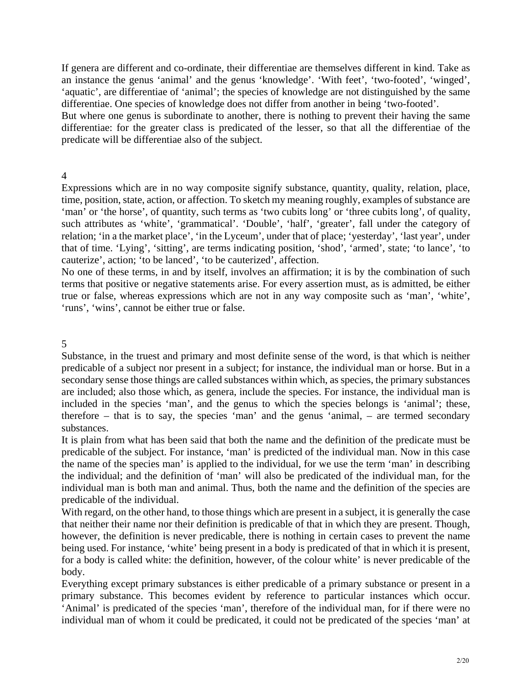If genera are different and co-ordinate, their differentiae are themselves different in kind. Take as an instance the genus 'animal' and the genus 'knowledge'. 'With feet', 'two-footed', 'winged', 'aquatic', are differentiae of 'animal'; the species of knowledge are not distinguished by the same differentiae. One species of knowledge does not differ from another in being 'two-footed'.

But where one genus is subordinate to another, there is nothing to prevent their having the same differentiae: for the greater class is predicated of the lesser, so that all the differentiae of the predicate will be differentiae also of the subject.

4

Expressions which are in no way composite signify substance, quantity, quality, relation, place, time, position, state, action, or affection. To sketch my meaning roughly, examples of substance are 'man' or 'the horse', of quantity, such terms as 'two cubits long' or 'three cubits long', of quality, such attributes as 'white', 'grammatical'. 'Double', 'half', 'greater', fall under the category of relation; 'in a the market place', 'in the Lyceum', under that of place; 'yesterday', 'last year', under that of time. 'Lying', 'sitting', are terms indicating position, 'shod', 'armed', state; 'to lance', 'to cauterize', action; 'to be lanced', 'to be cauterized', affection.

No one of these terms, in and by itself, involves an affirmation; it is by the combination of such terms that positive or negative statements arise. For every assertion must, as is admitted, be either true or false, whereas expressions which are not in any way composite such as 'man', 'white', 'runs', 'wins', cannot be either true or false.

5

Substance, in the truest and primary and most definite sense of the word, is that which is neither predicable of a subject nor present in a subject; for instance, the individual man or horse. But in a secondary sense those things are called substances within which, as species, the primary substances are included; also those which, as genera, include the species. For instance, the individual man is included in the species 'man', and the genus to which the species belongs is 'animal'; these, therefore – that is to say, the species 'man' and the genus 'animal, – are termed secondary substances.

It is plain from what has been said that both the name and the definition of the predicate must be predicable of the subject. For instance, 'man' is predicted of the individual man. Now in this case the name of the species man' is applied to the individual, for we use the term 'man' in describing the individual; and the definition of 'man' will also be predicated of the individual man, for the individual man is both man and animal. Thus, both the name and the definition of the species are predicable of the individual.

With regard, on the other hand, to those things which are present in a subject, it is generally the case that neither their name nor their definition is predicable of that in which they are present. Though, however, the definition is never predicable, there is nothing in certain cases to prevent the name being used. For instance, 'white' being present in a body is predicated of that in which it is present, for a body is called white: the definition, however, of the colour white' is never predicable of the body.

Everything except primary substances is either predicable of a primary substance or present in a primary substance. This becomes evident by reference to particular instances which occur. 'Animal' is predicated of the species 'man', therefore of the individual man, for if there were no individual man of whom it could be predicated, it could not be predicated of the species 'man' at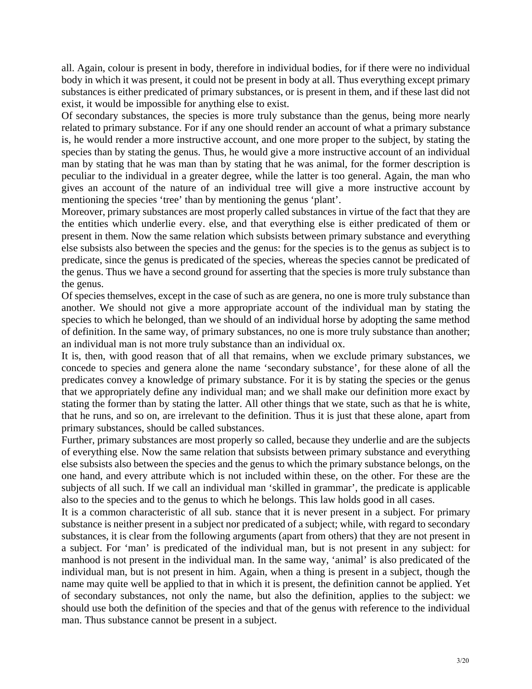all. Again, colour is present in body, therefore in individual bodies, for if there were no individual body in which it was present, it could not be present in body at all. Thus everything except primary substances is either predicated of primary substances, or is present in them, and if these last did not exist, it would be impossible for anything else to exist.

Of secondary substances, the species is more truly substance than the genus, being more nearly related to primary substance. For if any one should render an account of what a primary substance is, he would render a more instructive account, and one more proper to the subject, by stating the species than by stating the genus. Thus, he would give a more instructive account of an individual man by stating that he was man than by stating that he was animal, for the former description is peculiar to the individual in a greater degree, while the latter is too general. Again, the man who gives an account of the nature of an individual tree will give a more instructive account by mentioning the species 'tree' than by mentioning the genus 'plant'.

Moreover, primary substances are most properly called substances in virtue of the fact that they are the entities which underlie every. else, and that everything else is either predicated of them or present in them. Now the same relation which subsists between primary substance and everything else subsists also between the species and the genus: for the species is to the genus as subject is to predicate, since the genus is predicated of the species, whereas the species cannot be predicated of the genus. Thus we have a second ground for asserting that the species is more truly substance than the genus.

Of species themselves, except in the case of such as are genera, no one is more truly substance than another. We should not give a more appropriate account of the individual man by stating the species to which he belonged, than we should of an individual horse by adopting the same method of definition. In the same way, of primary substances, no one is more truly substance than another; an individual man is not more truly substance than an individual ox.

It is, then, with good reason that of all that remains, when we exclude primary substances, we concede to species and genera alone the name 'secondary substance', for these alone of all the predicates convey a knowledge of primary substance. For it is by stating the species or the genus that we appropriately define any individual man; and we shall make our definition more exact by stating the former than by stating the latter. All other things that we state, such as that he is white, that he runs, and so on, are irrelevant to the definition. Thus it is just that these alone, apart from primary substances, should be called substances.

Further, primary substances are most properly so called, because they underlie and are the subjects of everything else. Now the same relation that subsists between primary substance and everything else subsists also between the species and the genus to which the primary substance belongs, on the one hand, and every attribute which is not included within these, on the other. For these are the subjects of all such. If we call an individual man 'skilled in grammar', the predicate is applicable also to the species and to the genus to which he belongs. This law holds good in all cases.

It is a common characteristic of all sub. stance that it is never present in a subject. For primary man. Thus substance cannot be present in a subject. substance is neither present in a subject nor predicated of a subject; while, with regard to secondary substances, it is clear from the following arguments (apart from others) that they are not present in a subject. For 'man' is predicated of the individual man, but is not present in any subject: for manhood is not present in the individual man. In the same way, 'animal' is also predicated of the individual man, but is not present in him. Again, when a thing is present in a subject, though the name may quite well be applied to that in which it is present, the definition cannot be applied. Yet of secondary substances, not only the name, but also the definition, applies to the subject: we should use both the definition of the species and that of the genus with reference to the individual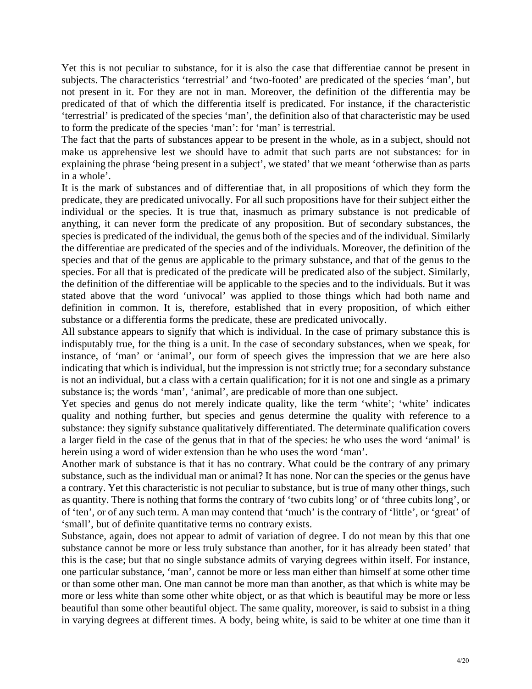Yet this is not peculiar to substance, for it is also the case that differentiae cannot be present in subjects. The characteristics 'terrestrial' and 'two-footed' are predicated of the species 'man', but not present in it. For they are not in man. Moreover, the definition of the differentia may be predicated of that of which the differentia itself is predicated. For instance, if the characteristic 'terrestrial' is predicated of the species 'man', the definition also of that characteristic may be used to form the predicate of the species 'man': for 'man' is terrestrial.

make us apprehensive lest we should have to admit that such parts are not substances: for in The fact that the parts of substances appear to be present in the whole, as in a subject, should not explaining the phrase 'being present in a subject', we stated' that we meant 'otherwise than as parts in a whole'.

predicate, they are predicated univocally. For all such propositions have for their subject either the It is the mark of substances and of differentiae that, in all propositions of which they form the individual or the species. It is true that, inasmuch as primary substance is not predicable of anything, it can never form the predicate of any proposition. But of secondary substances, the species is predicated of the individual, the genus both of the species and of the individual. Similarly the differentiae are predicated of the species and of the individuals. Moreover, the definition of the species and that of the genus are applicable to the primary substance, and that of the genus to the species. For all that is predicated of the predicate will be predicated also of the subject. Similarly, the definition of the differentiae will be applicable to the species and to the individuals. But it was stated above that the word 'univocal' was applied to those things which had both name and definition in common. It is, therefore, established that in every proposition, of which either substance or a differentia forms the predicate, these are predicated univocally.

indisputably true, for the thing is a unit. In the case of secondary substances, when we speak, for All substance appears to signify that which is individual. In the case of primary substance this is instance, of 'man' or 'animal', our form of speech gives the impression that we are here also indicating that which is individual, but the impression is not strictly true; for a secondary substance is not an individual, but a class with a certain qualification; for it is not one and single as a primary substance is; the words 'man', 'animal', are predicable of more than one subject.

quality and nothing further, but species and genus determine the quality with reference to a Yet species and genus do not merely indicate quality, like the term 'white'; 'white' indicates substance: they signify substance qualitatively differentiated. The determinate qualification covers a larger field in the case of the genus that in that of the species: he who uses the word 'animal' is herein using a word of wider extension than he who uses the word 'man'.

substance, such as the individual man or animal? It has none. Nor can the species or the genus have Another mark of substance is that it has no contrary. What could be the contrary of any primary a contrary. Yet this characteristic is not peculiar to substance, but is true of many other things, such as quantity. There is nothing that forms the contrary of 'two cubits long' or of 'three cubits long', or of 'ten', or of any such term. A man may contend that 'much' is the contrary of 'little', or 'great' of 'small', but of definite quantitative terms no contrary exists.

substance cannot be more or less truly substance than another, for it has already been stated' that Substance, again, does not appear to admit of variation of degree. I do not mean by this that one this is the case; but that no single substance admits of varying degrees within itself. For instance, one particular substance, 'man', cannot be more or less man either than himself at some other time or than some other man. One man cannot be more man than another, as that which is white may be more or less white than some other white object, or as that which is beautiful may be more or less beautiful than some other beautiful object. The same quality, moreover, is said to subsist in a thing in varying degrees at different times. A body, being white, is said to be whiter at one time than it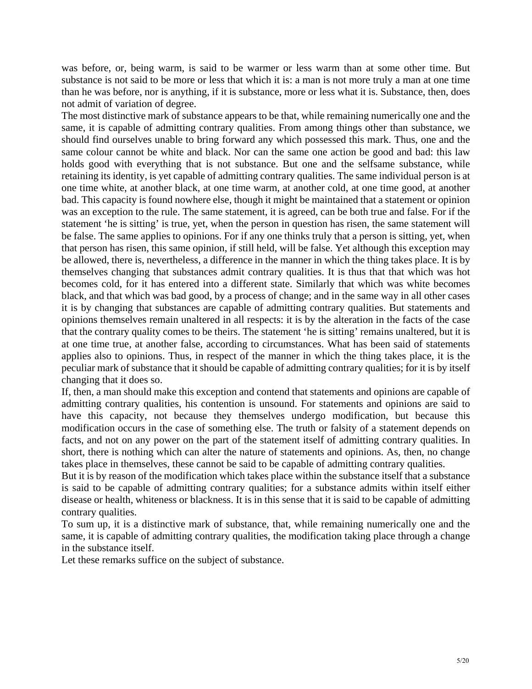was before, or, being warm, is said to be warmer or less warm than at some other time. But substance is not said to be more or less that which it is: a man is not more truly a man at one time than he was before, nor is anything, if it is substance, more or less what it is. Substance, then, does not admit of variation of degree.

The most distinctive mark of substance appears to be that, while remaining numerically one and the same, it is capable of admitting contrary qualities. From among things other than substance, we should find ourselves unable to bring forward any which possessed this mark. Thus, one and the same colour cannot be white and black. Nor can the same one action be good and bad: this law holds good with everything that is not substance. But one and the selfsame substance, while retaining its identity, is yet capable of admitting contrary qualities. The same individual person is at one time white, at another black, at one time warm, at another cold, at one time good, at another bad. This capacity is found nowhere else, though it might be maintained that a statement or opinion was an exception to the rule. The same statement, it is agreed, can be both true and false. For if the statement 'he is sitting' is true, yet, when the person in question has risen, the same statement will be false. The same applies to opinions. For if any one thinks truly that a person is sitting, yet, when that person has risen, this same opinion, if still held, will be false. Yet although this exception may be allowed, there is, nevertheless, a difference in the manner in which the thing takes place. It is by themselves changing that substances admit contrary qualities. It is thus that that which was hot becomes cold, for it has entered into a different state. Similarly that which was white becomes black, and that which was bad good, by a process of change; and in the same way in all other cases it is by changing that substances are capable of admitting contrary qualities. But statements and opinions themselves remain unaltered in all respects: it is by the alteration in the facts of the case that the contrary quality comes to be theirs. The statement 'he is sitting' remains unaltered, but it is at one time true, at another false, according to circumstances. What has been said of statements applies also to opinions. Thus, in respect of the manner in which the thing takes place, it is the peculiar mark of substance that it should be capable of admitting contrary qualities; for it is by itself changing that it does so.

admitting contrary qualities, his contention is unsound. For statements and opinions are said to If, then, a man should make this exception and contend that statements and opinions are capable of have this capacity, not because they themselves undergo modification, but because this modification occurs in the case of something else. The truth or falsity of a statement depends on facts, and not on any power on the part of the statement itself of admitting contrary qualities. In short, there is nothing which can alter the nature of statements and opinions. As, then, no change takes place in themselves, these cannot be said to be capable of admitting contrary qualities.

is said to be capable of admitting contrary qualities; for a substance admits within itself either But it is by reason of the modification which takes place within the substance itself that a substance disease or health, whiteness or blackness. It is in this sense that it is said to be capable of admitting contrary qualities.

same, it is capable of admitting contrary qualities, the modification taking place through a change To sum up, it is a distinctive mark of substance, that, while remaining numerically one and the in the substance itself.

Let these remarks suffice on the subject of substance.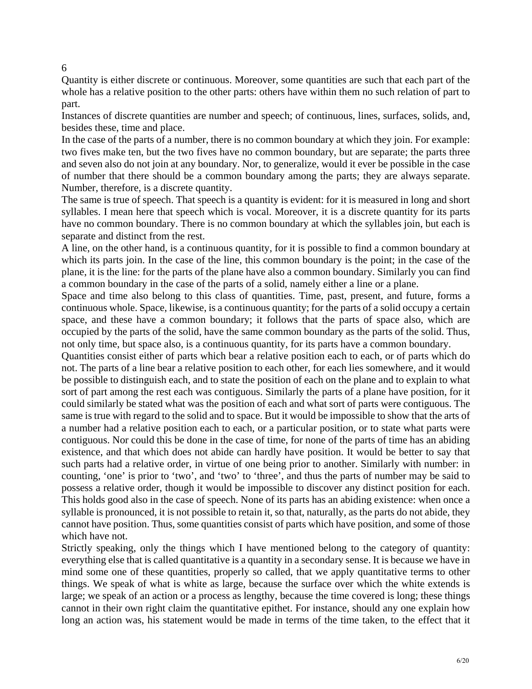Quantity is either discrete or continuous. Moreover, some quantities are such that each part of the whole has a relative position to the other parts: others have within them no such relation of part to part.

Instances of discrete quantities are number and speech; of continuous, lines, surfaces, solids, and, besides these, time and place.

In the case of the parts of a number, there is no common boundary at which they join. For example: two fives make ten, but the two fives have no common boundary, but are separate; the parts three and seven also do not join at any boundary. Nor, to generalize, would it ever be possible in the case of number that there should be a common boundary among the parts; they are always separate. Number, therefore, is a discrete quantity.

The same is true of speech. That speech is a quantity is evident: for it is measured in long and short syllables. I mean here that speech which is vocal. Moreover, it is a discrete quantity for its parts have no common boundary. There is no common boundary at which the syllables join, but each is separate and distinct from the rest.

A line, on the other hand, is a continuous quantity, for it is possible to find a common boundary at which its parts join. In the case of the line, this common boundary is the point; in the case of the plane, it is the line: for the parts of the plane have also a common boundary. Similarly you can find a common boundary in the case of the parts of a solid, namely either a line or a plane.

Space and time also belong to this class of quantities. Time, past, present, and future, forms a continuous whole. Space, likewise, is a continuous quantity; for the parts of a solid occupy a certain space, and these have a common boundary; it follows that the parts of space also, which are occupied by the parts of the solid, have the same common boundary as the parts of the solid. Thus, not only time, but space also, is a continuous quantity, for its parts have a common boundary.

Quantities consist either of parts which bear a relative position each to each, or of parts which do not. The parts of a line bear a relative position to each other, for each lies somewhere, and it would be possible to distinguish each, and to state the position of each on the plane and to explain to what sort of part among the rest each was contiguous. Similarly the parts of a plane have position, for it could similarly be stated what was the position of each and what sort of parts were contiguous. The same is true with regard to the solid and to space. But it would be impossible to show that the arts of a number had a relative position each to each, or a particular position, or to state what parts were contiguous. Nor could this be done in the case of time, for none of the parts of time has an abiding existence, and that which does not abide can hardly have position. It would be better to say that such parts had a relative order, in virtue of one being prior to another. Similarly with number: in counting, 'one' is prior to 'two', and 'two' to 'three', and thus the parts of number may be said to possess a relative order, though it would be impossible to discover any distinct position for each. This holds good also in the case of speech. None of its parts has an abiding existence: when once a syllable is pronounced, it is not possible to retain it, so that, naturally, as the parts do not abide, they cannot have position. Thus, some quantities consist of parts which have position, and some of those which have not.

Strictly speaking, only the things which I have mentioned belong to the category of quantity: everything else that is called quantitative is a quantity in a secondary sense. It is because we have in mind some one of these quantities, properly so called, that we apply quantitative terms to other things. We speak of what is white as large, because the surface over which the white extends is large; we speak of an action or a process as lengthy, because the time covered is long; these things cannot in their own right claim the quantitative epithet. For instance, should any one explain how long an action was, his statement would be made in terms of the time taken, to the effect that it

6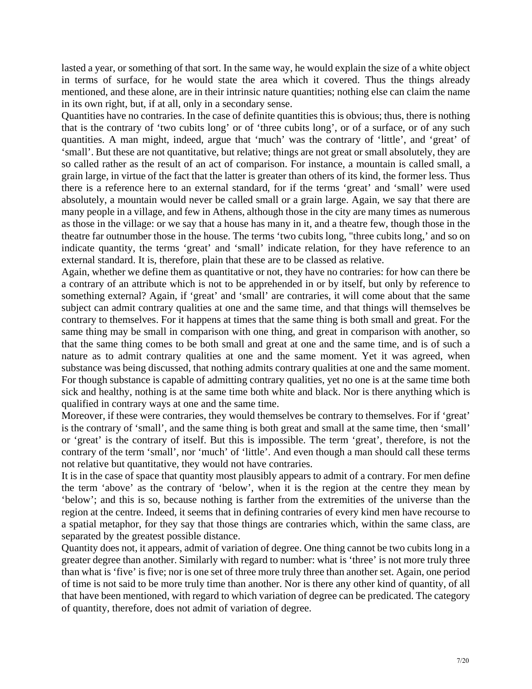lasted a year, or something of that sort. In the same way, he would explain the size of a white object in terms of surface, for he would state the area which it covered. Thus the things already mentioned, and these alone, are in their intrinsic nature quantities; nothing else can claim the name in its own right, but, if at all, only in a secondary sense.

Quantities have no contraries. In the case of definite quantities this is obvious; thus, there is nothing that is the contrary of 'two cubits long' or of 'three cubits long', or of a surface, or of any such quantities. A man might, indeed, argue that 'much' was the contrary of 'little', and 'great' of 'small'. But these are not quantitative, but relative; things are not great or small absolutely, they are so called rather as the result of an act of comparison. For instance, a mountain is called small, a grain large, in virtue of the fact that the latter is greater than others of its kind, the former less. Thus there is a reference here to an external standard, for if the terms 'great' and 'small' were used absolutely, a mountain would never be called small or a grain large. Again, we say that there are many people in a village, and few in Athens, although those in the city are many times as numerous as those in the village: or we say that a house has many in it, and a theatre few, though those in the theatre far outnumber those in the house. The terms 'two cubits long, "three cubits long,' and so on indicate quantity, the terms 'great' and 'small' indicate relation, for they have reference to an external standard. It is, therefore, plain that these are to be classed as relative.

Again, whether we define them as quantitative or not, they have no contraries: for how can there be a contrary of an attribute which is not to be apprehended in or by itself, but only by reference to something external? Again, if 'great' and 'small' are contraries, it will come about that the same subject can admit contrary qualities at one and the same time, and that things will themselves be contrary to themselves. For it happens at times that the same thing is both small and great. For the same thing may be small in comparison with one thing, and great in comparison with another, so that the same thing comes to be both small and great at one and the same time, and is of such a nature as to admit contrary qualities at one and the same moment. Yet it was agreed, when substance was being discussed, that nothing admits contrary qualities at one and the same moment. For though substance is capable of admitting contrary qualities, yet no one is at the same time both sick and healthy, nothing is at the same time both white and black. Nor is there anything which is qualified in contrary ways at one and the same time.

Moreover, if these were contraries, they would themselves be contrary to themselves. For if 'great' is the contrary of 'small', and the same thing is both great and small at the same time, then 'small' or 'great' is the contrary of itself. But this is impossible. The term 'great', therefore, is not the contrary of the term 'small', nor 'much' of 'little'. And even though a man should call these terms not relative but quantitative, they would not have contraries.

It is in the case of space that quantity most plausibly appears to admit of a contrary. For men define the term 'above' as the contrary of 'below', when it is the region at the centre they mean by 'below'; and this is so, because nothing is farther from the extremities of the universe than the region at the centre. Indeed, it seems that in defining contraries of every kind men have recourse to a spatial metaphor, for they say that those things are contraries which, within the same class, are separated by the greatest possible distance.

Quantity does not, it appears, admit of variation of degree. One thing cannot be two cubits long in a greater degree than another. Similarly with regard to number: what is 'three' is not more truly three than what is 'five' is five; nor is one set of three more truly three than another set. Again, one period of time is not said to be more truly time than another. Nor is there any other kind of quantity, of all that have been mentioned, with regard to which variation of degree can be predicated. The category of quantity, therefore, does not admit of variation of degree.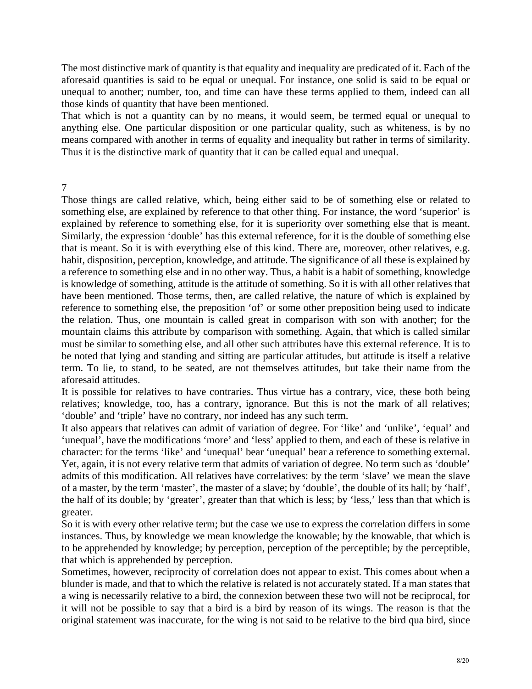The most distinctive mark of quantity is that equality and inequality are predicated of it. Each of the aforesaid quantities is said to be equal or unequal. For instance, one solid is said to be equal or unequal to another; number, too, and time can have these terms applied to them, indeed can all those kinds of quantity that have been mentioned.

That which is not a quantity can by no means, it would seem, be termed equal or unequal to anything else. One particular disposition or one particular quality, such as whiteness, is by no means compared with another in terms of equality and inequality but rather in terms of similarity. Thus it is the distinctive mark of quantity that it can be called equal and unequal.

7

Those things are called relative, which, being either said to be of something else or related to something else, are explained by reference to that other thing. For instance, the word 'superior' is explained by reference to something else, for it is superiority over something else that is meant. Similarly, the expression 'double' has this external reference, for it is the double of something else that is meant. So it is with everything else of this kind. There are, moreover, other relatives, e.g. habit, disposition, perception, knowledge, and attitude. The significance of all these is explained by a reference to something else and in no other way. Thus, a habit is a habit of something, knowledge is knowledge of something, attitude is the attitude of something. So it is with all other relatives that have been mentioned. Those terms, then, are called relative, the nature of which is explained by reference to something else, the preposition 'of' or some other preposition being used to indicate the relation. Thus, one mountain is called great in comparison with son with another; for the mountain claims this attribute by comparison with something. Again, that which is called similar must be similar to something else, and all other such attributes have this external reference. It is to be noted that lying and standing and sitting are particular attitudes, but attitude is itself a relative term. To lie, to stand, to be seated, are not themselves attitudes, but take their name from the aforesaid attitudes.

It is possible for relatives to have contraries. Thus virtue has a contrary, vice, these both being relatives; knowledge, too, has a contrary, ignorance. But this is not the mark of all relatives; 'double' and 'triple' have no contrary, nor indeed has any such term.

It also appears that relatives can admit of variation of degree. For 'like' and 'unlike', 'equal' and 'unequal', have the modifications 'more' and 'less' applied to them, and each of these is relative in character: for the terms 'like' and 'unequal' bear 'unequal' bear a reference to something external. Yet, again, it is not every relative term that admits of variation of degree. No term such as 'double' admits of this modification. All relatives have correlatives: by the term 'slave' we mean the slave of a master, by the term 'master', the master of a slave; by 'double', the double of its hall; by 'half', the half of its double; by 'greater', greater than that which is less; by 'less,' less than that which is greater.

So it is with every other relative term; but the case we use to express the correlation differs in some instances. Thus, by knowledge we mean knowledge the knowable; by the knowable, that which is to be apprehended by knowledge; by perception, perception of the perceptible; by the perceptible, that which is apprehended by perception.

Sometimes, however, reciprocity of correlation does not appear to exist. This comes about when a blunder is made, and that to which the relative is related is not accurately stated. If a man states that a wing is necessarily relative to a bird, the connexion between these two will not be reciprocal, for it will not be possible to say that a bird is a bird by reason of its wings. The reason is that the original statement was inaccurate, for the wing is not said to be relative to the bird qua bird, since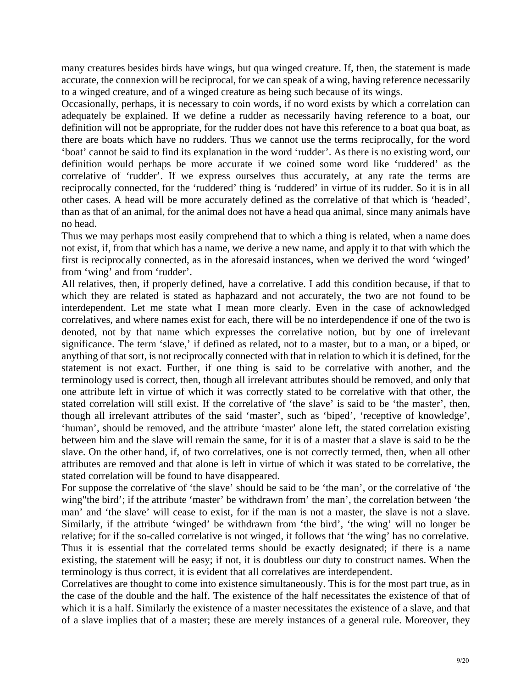many creatures besides birds have wings, but qua winged creature. If, then, the statement is made accurate, the connexion will be reciprocal, for we can speak of a wing, having reference necessarily to a winged creature, and of a winged creature as being such because of its wings.

Occasionally, perhaps, it is necessary to coin words, if no word exists by which a correlation can adequately be explained. If we define a rudder as necessarily having reference to a boat, our definition will not be appropriate, for the rudder does not have this reference to a boat qua boat, as there are boats which have no rudders. Thus we cannot use the terms reciprocally, for the word 'boat' cannot be said to find its explanation in the word 'rudder'. As there is no existing word, our definition would perhaps be more accurate if we coined some word like 'ruddered' as the correlative of 'rudder'. If we express ourselves thus accurately, at any rate the terms are reciprocally connected, for the 'ruddered' thing is 'ruddered' in virtue of its rudder. So it is in all other cases. A head will be more accurately defined as the correlative of that which is 'headed', than as that of an animal, for the animal does not have a head qua animal, since many animals have no head.

Thus we may perhaps most easily comprehend that to which a thing is related, when a name does not exist, if, from that which has a name, we derive a new name, and apply it to that with which the first is reciprocally connected, as in the aforesaid instances, when we derived the word 'winged' from 'wing' and from 'rudder'.

All relatives, then, if properly defined, have a correlative. I add this condition because, if that to which they are related is stated as haphazard and not accurately, the two are not found to be interdependent. Let me state what I mean more clearly. Even in the case of acknowledged correlatives, and where names exist for each, there will be no interdependence if one of the two is denoted, not by that name which expresses the correlative notion, but by one of irrelevant significance. The term 'slave,' if defined as related, not to a master, but to a man, or a biped, or anything of that sort, is not reciprocally connected with that in relation to which it is defined, for the statement is not exact. Further, if one thing is said to be correlative with another, and the terminology used is correct, then, though all irrelevant attributes should be removed, and only that one attribute left in virtue of which it was correctly stated to be correlative with that other, the stated correlation will still exist. If the correlative of 'the slave' is said to be 'the master', then, though all irrelevant attributes of the said 'master', such as 'biped', 'receptive of knowledge', 'human', should be removed, and the attribute 'master' alone left, the stated correlation existing between him and the slave will remain the same, for it is of a master that a slave is said to be the slave. On the other hand, if, of two correlatives, one is not correctly termed, then, when all other attributes are removed and that alone is left in virtue of which it was stated to be correlative, the stated correlation will be found to have disappeared.

For suppose the correlative of 'the slave' should be said to be 'the man', or the correlative of 'the wing"the bird'; if the attribute 'master' be withdrawn from' the man', the correlation between 'the man' and 'the slave' will cease to exist, for if the man is not a master, the slave is not a slave. Similarly, if the attribute 'winged' be withdrawn from 'the bird', 'the wing' will no longer be relative; for if the so-called correlative is not winged, it follows that 'the wing' has no correlative. Thus it is essential that the correlated terms should be exactly designated; if there is a name existing, the statement will be easy; if not, it is doubtless our duty to construct names. When the terminology is thus correct, it is evident that all correlatives are interdependent.

Correlatives are thought to come into existence simultaneously. This is for the most part true, as in the case of the double and the half. The existence of the half necessitates the existence of that of which it is a half. Similarly the existence of a master necessitates the existence of a slave, and that of a slave implies that of a master; these are merely instances of a general rule. Moreover, they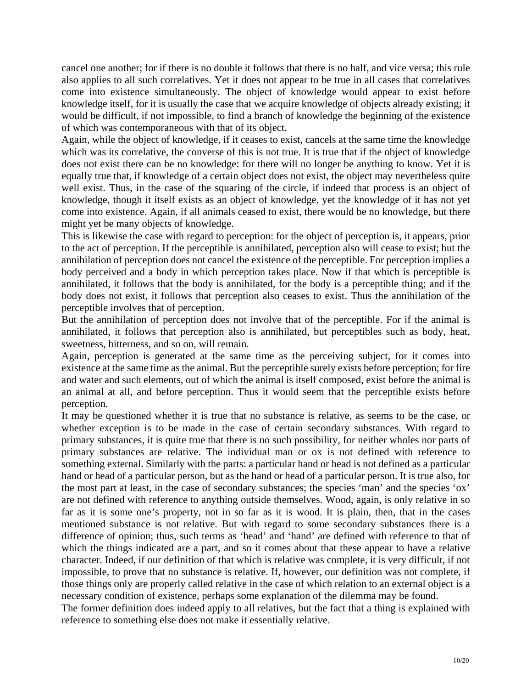cancel one another; for if there is no double it follows that there is no half, and vice versa; this rule also applies to all such correlatives. Yet it does not appear to be true in all cases that correlatives come into existence simultaneously. The object of knowledge would appear to exist before knowledge itself, for it is usually the case that we acquire knowledge of objects already existing; it would be difficult, if not impossible, to find a branch of knowledge the beginning of the existence of which was contemporaneous with that of its object.

Again, while the object of knowledge, if it ceases to exist, cancels at the same time the knowledge which was its correlative, the converse of this is not true. It is true that if the object of knowledge does not exist there can be no knowledge: for there will no longer be anything to know. Yet it is equally true that, if knowledge of a certain object does not exist, the object may nevertheless quite well exist. Thus, in the case of the squaring of the circle, if indeed that process is an object of knowledge, though it itself exists as an object of knowledge, yet the knowledge of it has not yet come into existence. Again, if all animals ceased to exist, there would be no knowledge, but there might yet be many objects of knowledge.

This is likewise the case with regard to perception: for the object of perception is, it appears, prior to the act of perception. If the perceptible is annihilated, perception also will cease to exist; but the annihilation of perception does not cancel the existence of the perceptible. For perception implies a body perceived and a body in which perception takes place. Now if that which is perceptible is annihilated, it follows that the body is annihilated, for the body is a perceptible thing; and if the body does not exist, it follows that perception also ceases to exist. Thus the annihilation of the perceptible involves that of perception.

But the annihilation of perception does not involve that of the perceptible. For if the animal is annihilated, it follows that perception also is annihilated, but perceptibles such as body, heat, sweetness, bitterness, and so on, will remain.

Again, perception is generated at the same time as the perceiving subject, for it comes into existence at the same time as the animal. But the perceptible surely exists before perception; for fire and water and such elements, out of which the animal is itself composed, exist before the animal is an animal at all, and before perception. Thus it would seem that the perceptible exists before perception.

It may be questioned whether it is true that no substance is relative, as seems to be the case, or whether exception is to be made in the case of certain secondary substances. With regard to primary substances, it is quite true that there is no such possibility, for neither wholes nor parts of primary substances are relative. The individual man or ox is not defined with reference to something external. Similarly with the parts: a particular hand or head is not defined as a particular hand or head of a particular person, but as the hand or head of a particular person. It is true also, for the most part at least, in the case of secondary substances; the species 'man' and the species 'ox' are not defined with reference to anything outside themselves. Wood, again, is only relative in so far as it is some one's property, not in so far as it is wood. It is plain, then, that in the cases mentioned substance is not relative. But with regard to some secondary substances there is a difference of opinion; thus, such terms as 'head' and 'hand' are defined with reference to that of which the things indicated are a part, and so it comes about that these appear to have a relative character. Indeed, if our definition of that which is relative was complete, it is very difficult, if not impossible, to prove that no substance is relative. If, however, our definition was not complete, if those things only are properly called relative in the case of which relation to an external object is a necessary condition of existence, perhaps some explanation of the dilemma may be found.

reference to something else does not make it essentially relative. The former definition does indeed apply to all relatives, but the fact that a thing is explained with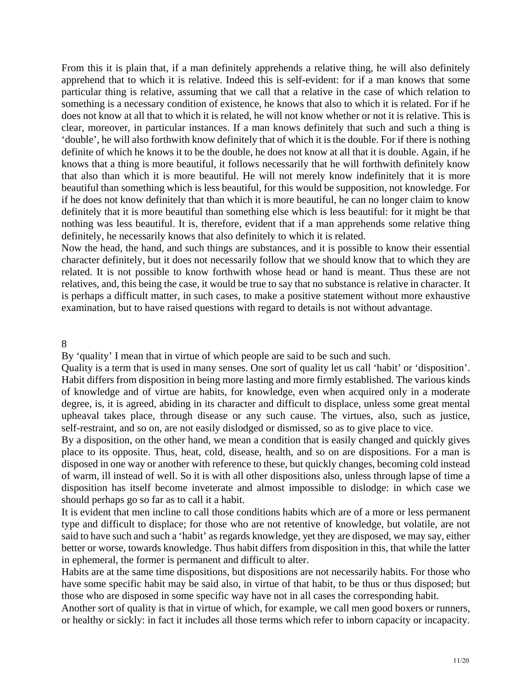From this it is plain that, if a man definitely apprehends a relative thing, he will also definitely apprehend that to which it is relative. Indeed this is self-evident: for if a man knows that some particular thing is relative, assuming that we call that a relative in the case of which relation to something is a necessary condition of existence, he knows that also to which it is related. For if he does not know at all that to which it is related, he will not know whether or not it is relative. This is clear, moreover, in particular instances. If a man knows definitely that such and such a thing is 'double', he will also forthwith know definitely that of which it is the double. For if there is nothing definite of which he knows it to be the double, he does not know at all that it is double. Again, if he knows that a thing is more beautiful, it follows necessarily that he will forthwith definitely know that also than which it is more beautiful. He will not merely know indefinitely that it is more beautiful than something which is less beautiful, for this would be supposition, not knowledge. For if he does not know definitely that than which it is more beautiful, he can no longer claim to know definitely that it is more beautiful than something else which is less beautiful: for it might be that nothing was less beautiful. It is, therefore, evident that if a man apprehends some relative thing definitely, he necessarily knows that also definitely to which it is related.

related. It is not possible to know forthwith whose head or hand is meant. Thus these are not Now the head, the hand, and such things are substances, and it is possible to know their essential character definitely, but it does not necessarily follow that we should know that to which they are relatives, and, this being the case, it would be true to say that no substance is relative in character. It is perhaps a difficult matter, in such cases, to make a positive statement without more exhaustive examination, but to have raised questions with regard to details is not without advantage.

8

By 'quality' I mean that in virtue of which people are said to be such and such.

Quality is a term that is used in many senses. One sort of quality let us call 'habit' or 'disposition'. Habit differs from disposition in being more lasting and more firmly established. The various kinds of knowledge and of virtue are habits, for knowledge, even when acquired only in a moderate degree, is, it is agreed, abiding in its character and difficult to displace, unless some great mental upheaval takes place, through disease or any such cause. The virtues, also, such as justice, self-restraint, and so on, are not easily dislodged or dismissed, so as to give place to vice.

By a disposition, on the other hand, we mean a condition that is easily changed and quickly gives place to its opposite. Thus, heat, cold, disease, health, and so on are dispositions. For a man is disposed in one way or another with reference to these, but quickly changes, becoming cold instead of warm, ill instead of well. So it is with all other dispositions also, unless through lapse of time a disposition has itself become inveterate and almost impossible to dislodge: in which case we should perhaps go so far as to call it a habit.

better or worse, towards knowledge. Thus habit differs from disposition in this, that while the latter It is evident that men incline to call those conditions habits which are of a more or less permanent type and difficult to displace; for those who are not retentive of knowledge, but volatile, are not said to have such and such a 'habit' as regards knowledge, yet they are disposed, we may say, either in ephemeral, the former is permanent and difficult to alter.

Habits are at the same time dispositions, but dispositions are not necessarily habits. For those who have some specific habit may be said also, in virtue of that habit, to be thus or thus disposed; but those who are disposed in some specific way have not in all cases the corresponding habit.

Another sort of quality is that in virtue of which, for example, we call men good boxers or runners, or healthy or sickly: in fact it includes all those terms which refer to inborn capacity or incapacity.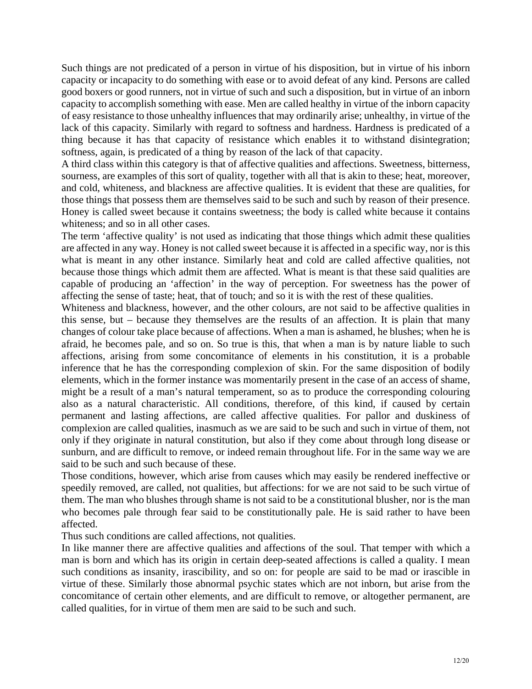Such things are not predicated of a person in virtue of his disposition, but in virtue of his inborn capacity or incapacity to do something with ease or to avoid defeat of any kind. Persons are called good boxers or good runners, not in virtue of such and such a disposition, but in virtue of an inborn capacity to accomplish something with ease. Men are called healthy in virtue of the inborn capacity of easy resistance to those unhealthy influences that may ordinarily arise; unhealthy, in virtue of the lack of this capacity. Similarly with regard to softness and hardness. Hardness is predicated of a thing because it has that capacity of resistance which enables it to withstand disintegration; softness, again, is predicated of a thing by reason of the lack of that capacity.

whiteness; and so in all other cases. A third class within this category is that of affective qualities and affections. Sweetness, bitterness, sourness, are examples of this sort of quality, together with all that is akin to these; heat, moreover, and cold, whiteness, and blackness are affective qualities. It is evident that these are qualities, for those things that possess them are themselves said to be such and such by reason of their presence. Honey is called sweet because it contains sweetness; the body is called white because it contains

affecting the sense of taste; heat, that of touch; and so it is with the rest of these qualities. The term 'affective quality' is not used as indicating that those things which admit these qualities are affected in any way. Honey is not called sweet because it is affected in a specific way, nor is this what is meant in any other instance. Similarly heat and cold are called affective qualities, not because those things which admit them are affected. What is meant is that these said qualities are capable of producing an 'affection' in the way of perception. For sweetness has the power of

inference that he has the corresponding complexion of skin. For the same disposition of bodily Whiteness and blackness, however, and the other colours, are not said to be affective qualities in this sense, but – because they themselves are the results of an affection. It is plain that many changes of colour take place because of affections. When a man is ashamed, he blushes; when he is afraid, he becomes pale, and so on. So true is this, that when a man is by nature liable to such affections, arising from some concomitance of elements in his constitution, it is a probable elements, which in the former instance was momentarily present in the case of an access of shame, might be a result of a man's natural temperament, so as to produce the corresponding colouring also as a natural characteristic. All conditions, therefore, of this kind, if caused by certain permanent and lasting affections, are called affective qualities. For pallor and duskiness of complexion are called qualities, inasmuch as we are said to be such and such in virtue of them, not only if they originate in natural constitution, but also if they come about through long disease or sunburn, and are difficult to remove, or indeed remain throughout life. For in the same way we are said to be such and such because of these.

Those conditions, however, which arise from causes which may easily be rendered ineffective or speedily removed, are called, not qualities, but affections: for we are not said to be such virtue of them. The man who blushes through shame is not said to be a constitutional blusher, nor is the man who becomes pale through fear said to be constitutionally pale. He is said rather to have been affected.

Thus such conditions are called affections, not qualities.

concomitance of certain other elements, and are difficult to remove, or altogether permanent, are called qualities, for in virtue of them men are said to be such and such. In like manner there are affective qualities and affections of the soul. That temper with which a man is born and which has its origin in certain deep-seated affections is called a quality. I mean such conditions as insanity, irascibility, and so on: for people are said to be mad or irascible in virtue of these. Similarly those abnormal psychic states which are not inborn, but arise from the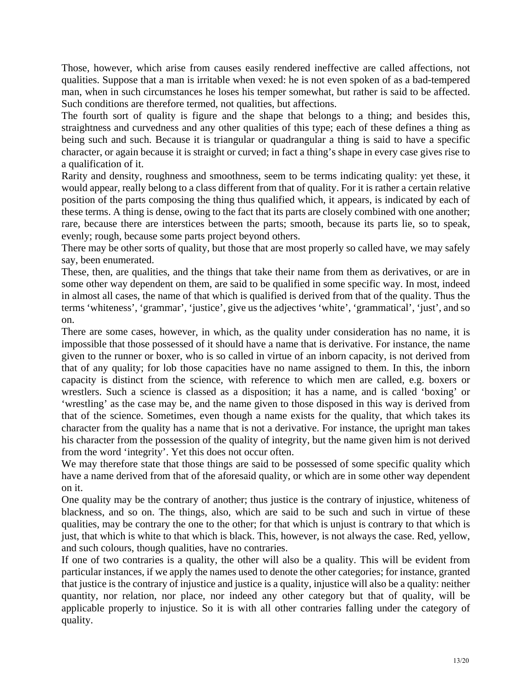Those, however, which arise from causes easily rendered ineffective are called affections, not qualities. Suppose that a man is irritable when vexed: he is not even spoken of as a bad-tempered man, when in such circumstances he loses his temper somewhat, but rather is said to be affected. Such conditions are therefore termed, not qualities, but affections.

The fourth sort of quality is figure and the shape that belongs to a thing; and besides this, straightness and curvedness and any other qualities of this type; each of these defines a thing as being such and such. Because it is triangular or quadrangular a thing is said to have a specific character, or again because it is straight or curved; in fact a thing's shape in every case gives rise to a qualification of it.

Rarity and density, roughness and smoothness, seem to be terms indicating quality: yet these, it evenly; rough, because some parts project beyond others. would appear, really belong to a class different from that of quality. For it is rather a certain relative position of the parts composing the thing thus qualified which, it appears, is indicated by each of these terms. A thing is dense, owing to the fact that its parts are closely combined with one another; rare, because there are interstices between the parts; smooth, because its parts lie, so to speak,

There may be other sorts of quality, but those that are most properly so called have, we may safely say, been enumerated.

terms 'whiteness', 'grammar', 'justice', give us the adjectives 'white', 'grammatical', 'just', and so These, then, are qualities, and the things that take their name from them as derivatives, or are in some other way dependent on them, are said to be qualified in some specific way. In most, indeed in almost all cases, the name of that which is qualified is derived from that of the quality. Thus the on.

There are some cases, however, in which, as the quality under consideration has no name, it is wrestlers. Such a science is classed as a disposition; it has a name, and is called 'boxing' or impossible that those possessed of it should have a name that is derivative. For instance, the name given to the runner or boxer, who is so called in virtue of an inborn capacity, is not derived from that of any quality; for lob those capacities have no name assigned to them. In this, the inborn capacity is distinct from the science, with reference to which men are called, e.g. boxers or 'wrestling' as the case may be, and the name given to those disposed in this way is derived from that of the science. Sometimes, even though a name exists for the quality, that which takes its character from the quality has a name that is not a derivative. For instance, the upright man takes his character from the possession of the quality of integrity, but the name given him is not derived from the word 'integrity'. Yet this does not occur often.

We may therefore state that those things are said to be possessed of some specific quality which have a name derived from that of the aforesaid quality, or which are in some other way dependent on it.

qualities, may be contrary the one to the other; for that which is unjust is contrary to that which is One quality may be the contrary of another; thus justice is the contrary of injustice, whiteness of blackness, and so on. The things, also, which are said to be such and such in virtue of these just, that which is white to that which is black. This, however, is not always the case. Red, yellow, and such colours, though qualities, have no contraries.

If one of two contraries is a quality, the other will also be a quality. This will be evident from particular instances, if we apply the names used to denote the other categories; for instance, granted that justice is the contrary of injustice and justice is a quality, injustice will also be a quality: neither quantity, nor relation, nor place, nor indeed any other category but that of quality, will be applicable properly to injustice. So it is with all other contraries falling under the category of quality.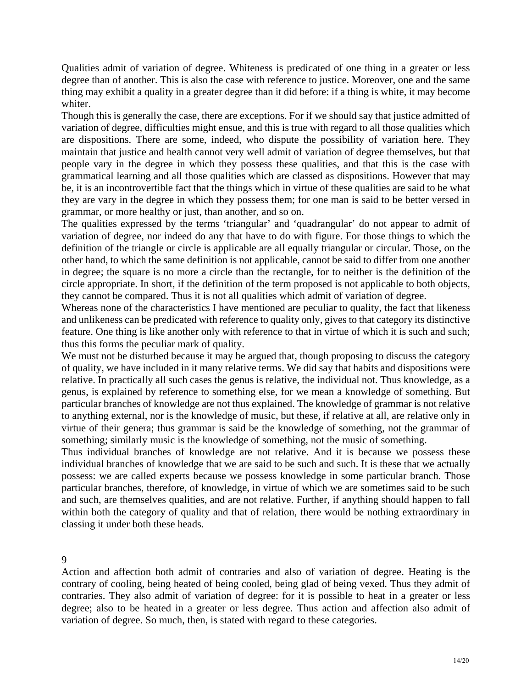Qualities admit of variation of degree. Whiteness is predicated of one thing in a greater or less degree than of another. This is also the case with reference to justice. Moreover, one and the same thing may exhibit a quality in a greater degree than it did before: if a thing is white, it may become whiter.

Though this is generally the case, there are exceptions. For if we should say that justice admitted of variation of degree, difficulties might ensue, and this is true with regard to all those qualities which grammatical learning and all those qualities which are classed as dispositions. However that may are dispositions. There are some, indeed, who dispute the possibility of variation here. They maintain that justice and health cannot very well admit of variation of degree themselves, but that people vary in the degree in which they possess these qualities, and that this is the case with be, it is an incontrovertible fact that the things which in virtue of these qualities are said to be what they are vary in the degree in which they possess them; for one man is said to be better versed in grammar, or more healthy or just, than another, and so on.

circle appropriate. In short, if the definition of the term proposed is not applicable to both objects, The qualities expressed by the terms 'triangular' and 'quadrangular' do not appear to admit of variation of degree, nor indeed do any that have to do with figure. For those things to which the definition of the triangle or circle is applicable are all equally triangular or circular. Those, on the other hand, to which the same definition is not applicable, cannot be said to differ from one another in degree; the square is no more a circle than the rectangle, for to neither is the definition of the they cannot be compared. Thus it is not all qualities which admit of variation of degree.

Whereas none of the characteristics I have mentioned are peculiar to quality, the fact that likeness and unlikeness can be predicated with reference to quality only, gives to that category its distinctive feature. One thing is like another only with reference to that in virtue of which it is such and such; thus this forms the peculiar mark of quality.

to anything external, nor is the knowledge of music, but these, if relative at all, are relative only in We must not be disturbed because it may be argued that, though proposing to discuss the category of quality, we have included in it many relative terms. We did say that habits and dispositions were relative. In practically all such cases the genus is relative, the individual not. Thus knowledge, as a genus, is explained by reference to something else, for we mean a knowledge of something. But particular branches of knowledge are not thus explained. The knowledge of grammar is not relative virtue of their genera; thus grammar is said be the knowledge of something, not the grammar of something; similarly music is the knowledge of something, not the music of something.

Thus individual branches of knowledge are not relative. And it is because we possess these individual branches of knowledge that we are said to be such and such. It is these that we actually possess: we are called experts because we possess knowledge in some particular branch. Those particular branches, therefore, of knowledge, in virtue of which we are sometimes said to be such and such, are themselves qualities, and are not relative. Further, if anything should happen to fall within both the category of quality and that of relation, there would be nothing extraordinary in classing it under both these heads.

9

degree; also to be heated in a greater or less degree. Thus action and affection also admit of variation of degree. So much, then, is stated with regard to these categories. Action and affection both admit of contraries and also of variation of degree. Heating is the contrary of cooling, being heated of being cooled, being glad of being vexed. Thus they admit of contraries. They also admit of variation of degree: for it is possible to heat in a greater or less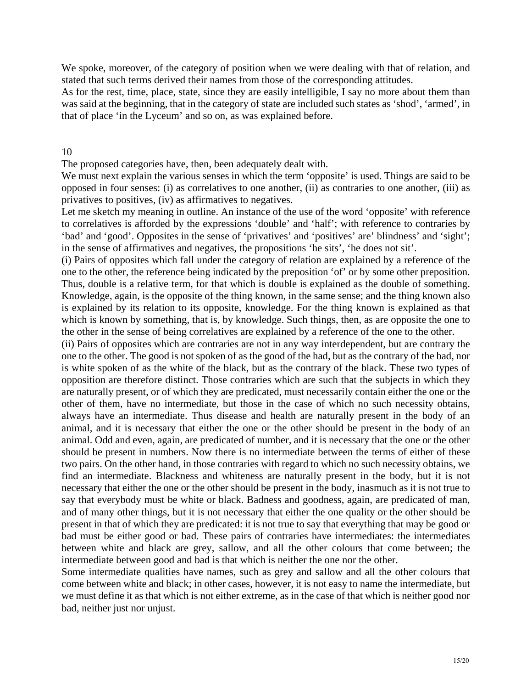We spoke, moreover, of the category of position when we were dealing with that of relation, and stated that such terms derived their names from those of the corresponding attitudes.

As for the rest, time, place, state, since they are easily intelligible, I say no more about them than was said at the beginning, that in the category of state are included such states as 'shod', 'armed', in that of place 'in the Lyceum' and so on, as was explained before.

### 10

The proposed categories have, then, been adequately dealt with.

We must next explain the various senses in which the term 'opposite' is used. Things are said to be opposed in four senses: (i) as correlatives to one another, (ii) as contraries to one another, (iii) as privatives to positives, (iv) as affirmatives to negatives.

Let me sketch my meaning in outline. An instance of the use of the word 'opposite' with reference to correlatives is afforded by the expressions 'double' and 'half'; with reference to contraries by 'bad' and 'good'. Opposites in the sense of 'privatives' and 'positives' are' blindness' and 'sight'; in the sense of affirmatives and negatives, the propositions 'he sits', 'he does not sit'.

Thus, double is a relative term, for that which is double is explained as the double of something. (i) Pairs of opposites which fall under the category of relation are explained by a reference of the one to the other, the reference being indicated by the preposition 'of' or by some other preposition. Knowledge, again, is the opposite of the thing known, in the same sense; and the thing known also is explained by its relation to its opposite, knowledge. For the thing known is explained as that which is known by something, that is, by knowledge. Such things, then, as are opposite the one to the other in the sense of being correlatives are explained by a reference of the one to the other.

(ii) Pairs of opposites which are contraries are not in any way interdependent, but are contrary the animal. Odd and even, again, are predicated of number, and it is necessary that the one or the other one to the other. The good is not spoken of as the good of the had, but as the contrary of the bad, nor is white spoken of as the white of the black, but as the contrary of the black. These two types of opposition are therefore distinct. Those contraries which are such that the subjects in which they are naturally present, or of which they are predicated, must necessarily contain either the one or the other of them, have no intermediate, but those in the case of which no such necessity obtains, always have an intermediate. Thus disease and health are naturally present in the body of an animal, and it is necessary that either the one or the other should be present in the body of an should be present in numbers. Now there is no intermediate between the terms of either of these two pairs. On the other hand, in those contraries with regard to which no such necessity obtains, we find an intermediate. Blackness and whiteness are naturally present in the body, but it is not necessary that either the one or the other should be present in the body, inasmuch as it is not true to say that everybody must be white or black. Badness and goodness, again, are predicated of man, and of many other things, but it is not necessary that either the one quality or the other should be present in that of which they are predicated: it is not true to say that everything that may be good or bad must be either good or bad. These pairs of contraries have intermediates: the intermediates between white and black are grey, sallow, and all the other colours that come between; the intermediate between good and bad is that which is neither the one nor the other.

Some intermediate qualities have names, such as grey and sallow and all the other colours that come between white and black; in other cases, however, it is not easy to name the intermediate, but we must define it as that which is not either extreme, as in the case of that which is neither good nor bad, neither just nor unjust.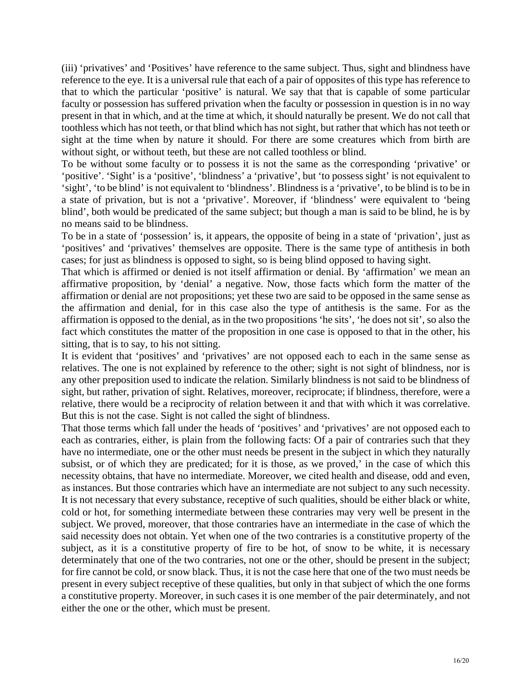(iii) 'privatives' and 'Positives' have reference to the same subject. Thus, sight and blindness have reference to the eye. It is a universal rule that each of a pair of opposites of this type has reference to that to which the particular 'positive' is natural. We say that that is capable of some particular faculty or possession has suffered privation when the faculty or possession in question is in no way present in that in which, and at the time at which, it should naturally be present. We do not call that toothless which has not teeth, or that blind which has not sight, but rather that which has not teeth or sight at the time when by nature it should. For there are some creatures which from birth are without sight, or without teeth, but these are not called toothless or blind.

To be without some faculty or to possess it is not the same as the corresponding 'privative' or 'positive'. 'Sight' is a 'positive', 'blindness' a 'privative', but 'to possess sight' is not equivalent to 'sight', 'to be blind' is not equivalent to 'blindness'. Blindness is a 'privative', to be blind is to be in a state of privation, but is not a 'privative'. Moreover, if 'blindness' were equivalent to 'being blind', both would be predicated of the same subject; but though a man is said to be blind, he is by no means said to be blindness.

To be in a state of 'possession' is, it appears, the opposite of being in a state of 'privation', just as 'positives' and 'privatives' themselves are opposite. There is the same type of antithesis in both cases; for just as blindness is opposed to sight, so is being blind opposed to having sight.

fact which constitutes the matter of the proposition in one case is opposed to that in the other, his That which is affirmed or denied is not itself affirmation or denial. By 'affirmation' we mean an affirmative proposition, by 'denial' a negative. Now, those facts which form the matter of the affirmation or denial are not propositions; yet these two are said to be opposed in the same sense as the affirmation and denial, for in this case also the type of antithesis is the same. For as the affirmation is opposed to the denial, as in the two propositions 'he sits', 'he does not sit', so also the sitting, that is to say, to his not sitting.

relatives. The one is not explained by reference to the other; sight is not sight of blindness, nor is It is evident that 'positives' and 'privatives' are not opposed each to each in the same sense as any other preposition used to indicate the relation. Similarly blindness is not said to be blindness of sight, but rather, privation of sight. Relatives, moreover, reciprocate; if blindness, therefore, were a relative, there would be a reciprocity of relation between it and that with which it was correlative. But this is not the case. Sight is not called the sight of blindness.

have no intermediate, one or the other must needs be present in the subject in which they naturally subject. We proved, moreover, that those contraries have an intermediate in the case of which the That those terms which fall under the heads of 'positives' and 'privatives' are not opposed each to each as contraries, either, is plain from the following facts: Of a pair of contraries such that they subsist, or of which they are predicated; for it is those, as we proved,' in the case of which this necessity obtains, that have no intermediate. Moreover, we cited health and disease, odd and even, as instances. But those contraries which have an intermediate are not subject to any such necessity. It is not necessary that every substance, receptive of such qualities, should be either black or white, cold or hot, for something intermediate between these contraries may very well be present in the said necessity does not obtain. Yet when one of the two contraries is a constitutive property of the subject, as it is a constitutive property of fire to be hot, of snow to be white, it is necessary determinately that one of the two contraries, not one or the other, should be present in the subject; for fire cannot be cold, or snow black. Thus, it is not the case here that one of the two must needs be present in every subject receptive of these qualities, but only in that subject of which the one forms a constitutive property. Moreover, in such cases it is one member of the pair determinately, and not either the one or the other, which must be present.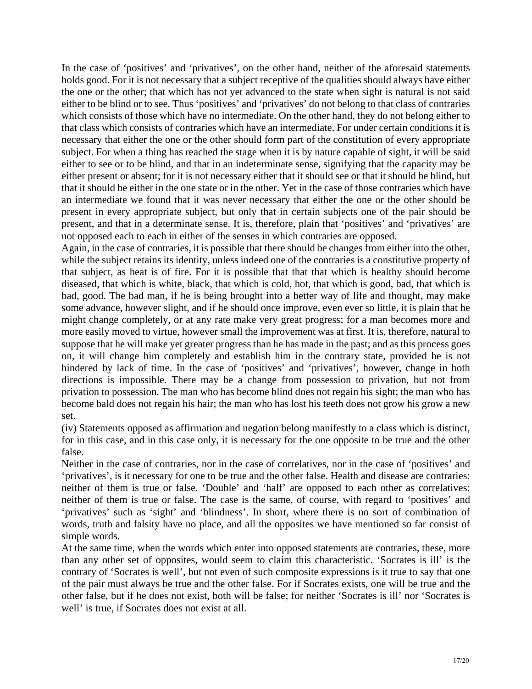In the case of 'positives' and 'privatives', on the other hand, neither of the aforesaid statements holds good. For it is not necessary that a subject receptive of the qualities should always have either the one or the other; that which has not yet advanced to the state when sight is natural is not said either to be blind or to see. Thus 'positives' and 'privatives' do not belong to that class of contraries which consists of those which have no intermediate. On the other hand, they do not belong either to that class which consists of contraries which have an intermediate. For under certain conditions it is necessary that either the one or the other should form part of the constitution of every appropriate subject. For when a thing has reached the stage when it is by nature capable of sight, it will be said either to see or to be blind, and that in an indeterminate sense, signifying that the capacity may be either present or absent; for it is not necessary either that it should see or that it should be blind, but that it should be either in the one state or in the other. Yet in the case of those contraries which have an intermediate we found that it was never necessary that either the one or the other should be present in every appropriate subject, but only that in certain subjects one of the pair should be present, and that in a determinate sense. It is, therefore, plain that 'positives' and 'privatives' are not opposed each to each in either of the senses in which contraries are opposed.

suppose that he will make yet greater progress than he has made in the past; and as this process goes Again, in the case of contraries, it is possible that there should be changes from either into the other, while the subject retains its identity, unless indeed one of the contraries is a constitutive property of that subject, as heat is of fire. For it is possible that that that which is healthy should become diseased, that which is white, black, that which is cold, hot, that which is good, bad, that which is bad, good. The bad man, if he is being brought into a better way of life and thought, may make some advance, however slight, and if he should once improve, even ever so little, it is plain that he might change completely, or at any rate make very great progress; for a man becomes more and more easily moved to virtue, however small the improvement was at first. It is, therefore, natural to on, it will change him completely and establish him in the contrary state, provided he is not hindered by lack of time. In the case of 'positives' and 'privatives', however, change in both directions is impossible. There may be a change from possession to privation, but not from privation to possession. The man who has become blind does not regain his sight; the man who has become bald does not regain his hair; the man who has lost his teeth does not grow his grow a new set.

(iv) Statements opposed as affirmation and negation belong manifestly to a class which is distinct, for in this case, and in this case only, it is necessary for the one opposite to be true and the other false.

words, truth and falsity have no place, and all the opposites we have mentioned so far consist of Neither in the case of contraries, nor in the case of correlatives, nor in the case of 'positives' and 'privatives', is it necessary for one to be true and the other false. Health and disease are contraries: neither of them is true or false. 'Double' and 'half' are opposed to each other as correlatives: neither of them is true or false. The case is the same, of course, with regard to 'positives' and 'privatives' such as 'sight' and 'blindness'. In short, where there is no sort of combination of simple words.

than any other set of opposites, would seem to claim this characteristic. 'Socrates is ill' is the At the same time, when the words which enter into opposed statements are contraries, these, more contrary of 'Socrates is well', but not even of such composite expressions is it true to say that one of the pair must always be true and the other false. For if Socrates exists, one will be true and the other false, but if he does not exist, both will be false; for neither 'Socrates is ill' nor 'Socrates is well' is true, if Socrates does not exist at all.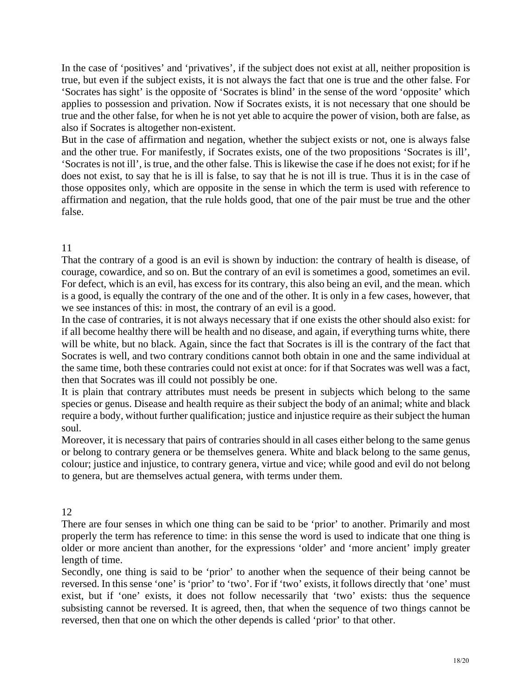In the case of 'positives' and 'privatives', if the subject does not exist at all, neither proposition is true, but even if the subject exists, it is not always the fact that one is true and the other false. For 'Socrates has sight' is the opposite of 'Socrates is blind' in the sense of the word 'opposite' which applies to possession and privation. Now if Socrates exists, it is not necessary that one should be true and the other false, for when he is not yet able to acquire the power of vision, both are false, as also if Socrates is altogether non-existent.

and the other true. For manifestly, if Socrates exists, one of the two propositions 'Socrates is ill', But in the case of affirmation and negation, whether the subject exists or not, one is always false 'Socrates is not ill', is true, and the other false. This is likewise the case if he does not exist; for if he does not exist, to say that he is ill is false, to say that he is not ill is true. Thus it is in the case of those opposites only, which are opposite in the sense in which the term is used with reference to affirmation and negation, that the rule holds good, that one of the pair must be true and the other false.

# 11

we see instances of this: in most, the contrary of an evil is a good. That the contrary of a good is an evil is shown by induction: the contrary of health is disease, of courage, cowardice, and so on. But the contrary of an evil is sometimes a good, sometimes an evil. For defect, which is an evil, has excess for its contrary, this also being an evil, and the mean. which is a good, is equally the contrary of the one and of the other. It is only in a few cases, however, that

In the case of contraries, it is not always necessary that if one exists the other should also exist: for if all become healthy there will be health and no disease, and again, if everything turns white, there will be white, but no black. Again, since the fact that Socrates is ill is the contrary of the fact that Socrates is well, and two contrary conditions cannot both obtain in one and the same individual at the same time, both these contraries could not exist at once: for if that Socrates was well was a fact, then that Socrates was ill could not possibly be one.

species or genus. Disease and health require as their subject the body of an animal; white and black It is plain that contrary attributes must needs be present in subjects which belong to the same require a body, without further qualification; justice and injustice require as their subject the human soul.

Moreover, it is necessary that pairs of contraries should in all cases either belong to the same genus or belong to contrary genera or be themselves genera. White and black belong to the same genus, colour; justice and injustice, to contrary genera, virtue and vice; while good and evil do not belong to genera, but are themselves actual genera, with terms under them.

# 12

There are four senses in which one thing can be said to be 'prior' to another. Primarily and most properly the term has reference to time: in this sense the word is used to indicate that one thing is older or more ancient than another, for the expressions 'older' and 'more ancient' imply greater length of time.

Secondly, one thing is said to be 'prior' to another when the sequence of their being cannot be reversed. In this sense 'one' is 'prior' to 'two'. For if 'two' exists, it follows directly that 'one' must exist, but if 'one' exists, it does not follow necessarily that 'two' exists: thus the sequence subsisting cannot be reversed. It is agreed, then, that when the sequence of two things cannot be reversed, then that one on which the other depends is called 'prior' to that other.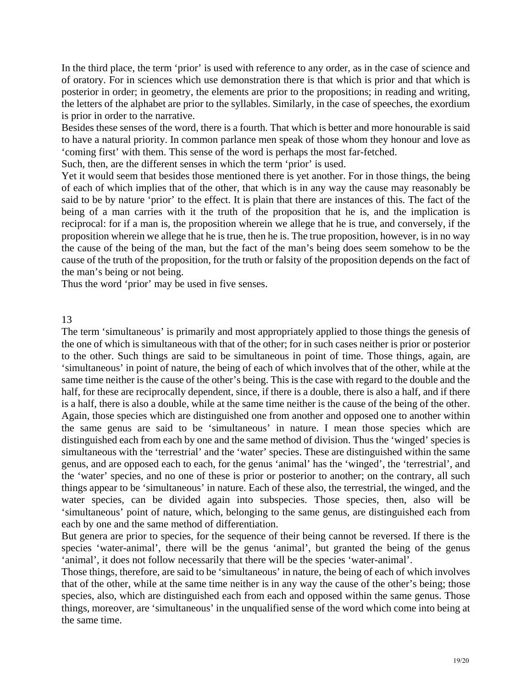In the third place, the term 'prior' is used with reference to any order, as in the case of science and is prior in order to the narrative. of oratory. For in sciences which use demonstration there is that which is prior and that which is posterior in order; in geometry, the elements are prior to the propositions; in reading and writing, the letters of the alphabet are prior to the syllables. Similarly, in the case of speeches, the exordium

Besides these senses of the word, there is a fourth. That which is better and more honourable is said to have a natural priority. In common parlance men speak of those whom they honour and love as 'coming first' with them. This sense of the word is perhaps the most far-fetched.

Such, then, are the different senses in which the term 'prior' is used.

Yet it would seem that besides those mentioned there is yet another. For in those things, the being proposition wherein we allege that he is true, then he is. The true proposition, however, is in no way of each of which implies that of the other, that which is in any way the cause may reasonably be said to be by nature 'prior' to the effect. It is plain that there are instances of this. The fact of the being of a man carries with it the truth of the proposition that he is, and the implication is reciprocal: for if a man is, the proposition wherein we allege that he is true, and conversely, if the the cause of the being of the man, but the fact of the man's being does seem somehow to be the cause of the truth of the proposition, for the truth or falsity of the proposition depends on the fact of the man's being or not being.

Thus the word 'prior' may be used in five senses.

## 13

half, for these are reciprocally dependent, since, if there is a double, there is also a half, and if there is a half, there is also a double, while at the same time neither is the cause of the being of the other. Again, those species which are distinguished one from another and opposed one to another within the same genus are said to be 'simultaneous' in nature. I mean those species which are distinguished each from each by one and the same method of division. Thus the 'winged' species is The term 'simultaneous' is primarily and most appropriately applied to those things the genesis of the one of which is simultaneous with that of the other; for in such cases neither is prior or posterior to the other. Such things are said to be simultaneous in point of time. Those things, again, are 'simultaneous' in point of nature, the being of each of which involves that of the other, while at the same time neither is the cause of the other's being. This is the case with regard to the double and the simultaneous with the 'terrestrial' and the 'water' species. These are distinguished within the same genus, and are opposed each to each, for the genus 'animal' has the 'winged', the 'terrestrial', and the 'water' species, and no one of these is prior or posterior to another; on the contrary, all such things appear to be 'simultaneous' in nature. Each of these also, the terrestrial, the winged, and the water species, can be divided again into subspecies. Those species, then, also will be 'simultaneous' point of nature, which, belonging to the same genus, are distinguished each from each by one and the same method of differentiation.

But genera are prior to species, for the sequence of their being cannot be reversed. If there is the species 'water-animal', there will be the genus 'animal', but granted the being of the genus 'animal', it does not follow necessarily that there will be the species 'water-animal'.

Those things, therefore, are said to be 'simultaneous' in nature, the being of each of which involves that of the other, while at the same time neither is in any way the cause of the other's being; those species, also, which are distinguished each from each and opposed within the same genus. Those things, moreover, are 'simultaneous' in the unqualified sense of the word which come into being at the same time.